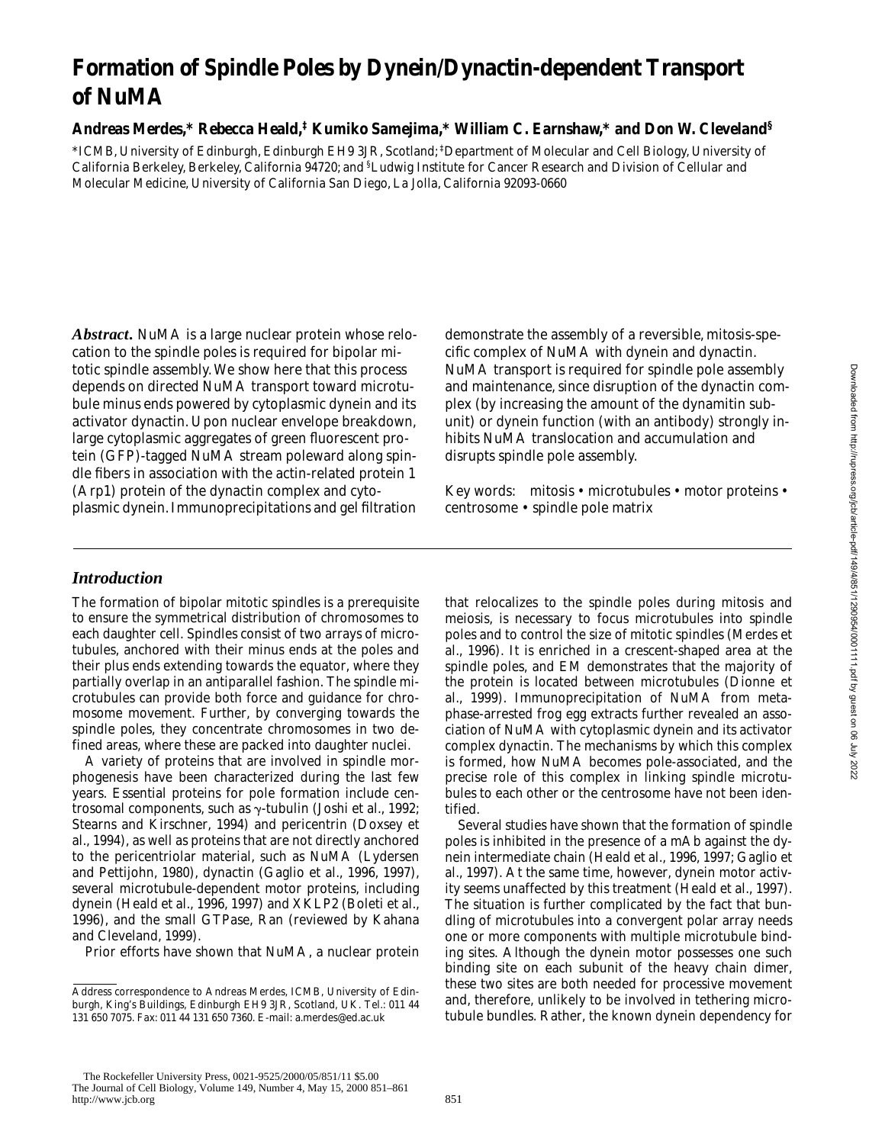# **Formation of Spindle Poles by Dynein/Dynactin-dependent Transport of NuMA**

**Andreas Merdes,\* Rebecca Heald,‡ Kumiko Samejima,\* William C. Earnshaw,\* and Don W. Cleveland§**

\*ICMB, University of Edinburgh, Edinburgh EH9 3JR, Scotland; ‡ Department of Molecular and Cell Biology, University of California Berkeley, Berkeley, California 94720; and <sup>§</sup>Ludwig Institute for Cancer Research and Division of Cellular and Molecular Medicine, University of California San Diego, La Jolla, California 92093-0660

*Abstract.* NuMA is a large nuclear protein whose relocation to the spindle poles is required for bipolar mitotic spindle assembly. We show here that this process depends on directed NuMA transport toward microtubule minus ends powered by cytoplasmic dynein and its activator dynactin. Upon nuclear envelope breakdown, large cytoplasmic aggregates of green fluorescent protein (GFP)-tagged NuMA stream poleward along spindle fibers in association with the actin-related protein 1 (Arp1) protein of the dynactin complex and cytoplasmic dynein. Immunoprecipitations and gel filtration demonstrate the assembly of a reversible, mitosis-specific complex of NuMA with dynein and dynactin. NuMA transport is required for spindle pole assembly and maintenance, since disruption of the dynactin complex (by increasing the amount of the dynamitin subunit) or dynein function (with an antibody) strongly inhibits NuMA translocation and accumulation and disrupts spindle pole assembly.

Key words: mitosis • microtubules • motor proteins • centrosome • spindle pole matrix

# *Introduction*

The formation of bipolar mitotic spindles is a prerequisite to ensure the symmetrical distribution of chromosomes to each daughter cell. Spindles consist of two arrays of microtubules, anchored with their minus ends at the poles and their plus ends extending towards the equator, where they partially overlap in an antiparallel fashion. The spindle microtubules can provide both force and guidance for chromosome movement. Further, by converging towards the spindle poles, they concentrate chromosomes in two defined areas, where these are packed into daughter nuclei.

A variety of proteins that are involved in spindle morphogenesis have been characterized during the last few years. Essential proteins for pole formation include centrosomal components, such as  $\gamma$ -tubulin (Joshi et al., 1992; Stearns and Kirschner, 1994) and pericentrin (Doxsey et al., 1994), as well as proteins that are not directly anchored to the pericentriolar material, such as NuMA (Lydersen and Pettijohn, 1980), dynactin (Gaglio et al., 1996, 1997), several microtubule-dependent motor proteins, including dynein (Heald et al., 1996, 1997) and XKLP2 (Boleti et al., 1996), and the small GTPase, Ran (reviewed by Kahana and Cleveland, 1999).

Prior efforts have shown that NuMA, a nuclear protein

that relocalizes to the spindle poles during mitosis and meiosis, is necessary to focus microtubules into spindle poles and to control the size of mitotic spindles (Merdes et al., 1996). It is enriched in a crescent-shaped area at the spindle poles, and EM demonstrates that the majority of the protein is located between microtubules (Dionne et al., 1999). Immunoprecipitation of NuMA from metaphase-arrested frog egg extracts further revealed an association of NuMA with cytoplasmic dynein and its activator complex dynactin. The mechanisms by which this complex is formed, how NuMA becomes pole-associated, and the precise role of this complex in linking spindle microtubules to each other or the centrosome have not been identified.

Several studies have shown that the formation of spindle poles is inhibited in the presence of a mAb against the dynein intermediate chain (Heald et al., 1996, 1997; Gaglio et al., 1997). At the same time, however, dynein motor activity seems unaffected by this treatment (Heald et al., 1997). The situation is further complicated by the fact that bundling of microtubules into a convergent polar array needs one or more components with multiple microtubule binding sites. Although the dynein motor possesses one such binding site on each subunit of the heavy chain dimer, these two sites are both needed for processive movement and, therefore, unlikely to be involved in tethering microtubule bundles. Rather, the known dynein dependency for

Address correspondence to Andreas Merdes, ICMB, University of Edinburgh, King's Buildings, Edinburgh EH9 3JR, Scotland, UK. Tel.: 011 44 131 650 7075. Fax: 011 44 131 650 7360. E-mail: a.merdes@ed.ac.uk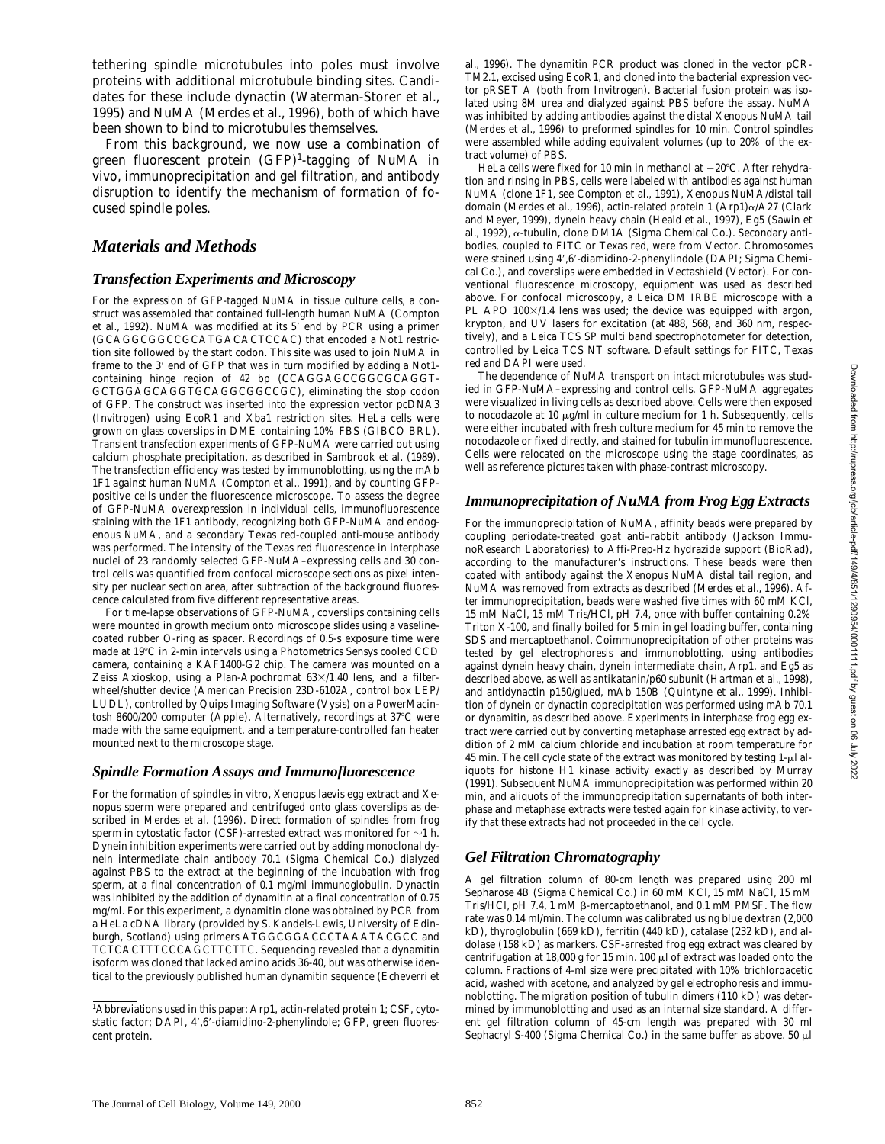tethering spindle microtubules into poles must involve proteins with additional microtubule binding sites. Candidates for these include dynactin (Waterman-Storer et al., 1995) and NuMA (Merdes et al., 1996), both of which have been shown to bind to microtubules themselves.

From this background, we now use a combination of green fluorescent protein (GFP)<sup>1</sup>-tagging of NuMA in vivo, immunoprecipitation and gel filtration, and antibody disruption to identify the mechanism of formation of focused spindle poles.

## *Materials and Methods*

#### *Transfection Experiments and Microscopy*

For the expression of GFP-tagged NuMA in tissue culture cells, a construct was assembled that contained full-length human NuMA (Compton et al., 1992). NuMA was modified at its 5' end by PCR using a primer (GCAGGCGGCCGCATGACACTCCAC) that encoded a Not1 restriction site followed by the start codon. This site was used to join NuMA in frame to the 3' end of GFP that was in turn modified by adding a Not1containing hinge region of 42 bp (CCAGGAGCCGGCGCAGGT-GCTGGAGCAGGTGCAGGCGGCCGC), eliminating the stop codon of GFP. The construct was inserted into the expression vector pcDNA3 (Invitrogen) using EcoR1 and Xba1 restriction sites. HeLa cells were grown on glass coverslips in DME containing 10% FBS (GIBCO BRL). Transient transfection experiments of GFP-NuMA were carried out using calcium phosphate precipitation, as described in Sambrook et al. (1989). The transfection efficiency was tested by immunoblotting, using the mAb 1F1 against human NuMA (Compton et al., 1991), and by counting GFPpositive cells under the fluorescence microscope. To assess the degree of GFP-NuMA overexpression in individual cells, immunofluorescence staining with the 1F1 antibody, recognizing both GFP-NuMA and endogenous NuMA, and a secondary Texas red-coupled anti-mouse antibody was performed. The intensity of the Texas red fluorescence in interphase nuclei of 23 randomly selected GFP-NuMA–expressing cells and 30 control cells was quantified from confocal microscope sections as pixel intensity per nuclear section area, after subtraction of the background fluorescence calculated from five different representative areas.

For time-lapse observations of GFP-NuMA, coverslips containing cells were mounted in growth medium onto microscope slides using a vaselinecoated rubber O-ring as spacer. Recordings of 0.5-s exposure time were made at 19°C in 2-min intervals using a Photometrics Sensys cooled CCD camera, containing a KAF1400-G2 chip. The camera was mounted on a Zeiss Axioskop, using a Plan-Apochromat  $63\times/1.40$  lens, and a filterwheel/shutter device (American Precision 23D-6102A, control box LEP/ LUDL), controlled by Quips Imaging Software (Vysis) on a PowerMacintosh 8600/200 computer (Apple). Alternatively, recordings at 37°C were made with the same equipment, and a temperature-controlled fan heater mounted next to the microscope stage.

#### *Spindle Formation Assays and Immunofluorescence*

For the formation of spindles in vitro, *Xenopus laevis* egg extract and *Xenopus* sperm were prepared and centrifuged onto glass coverslips as described in Merdes et al. (1996). Direct formation of spindles from frog sperm in cytostatic factor (CSF)-arrested extract was monitored for  $\sim$ 1 h. Dynein inhibition experiments were carried out by adding monoclonal dynein intermediate chain antibody 70.1 (Sigma Chemical Co.) dialyzed against PBS to the extract at the beginning of the incubation with frog sperm, at a final concentration of 0.1 mg/ml immunoglobulin. Dynactin was inhibited by the addition of dynamitin at a final concentration of 0.75 mg/ml. For this experiment, a dynamitin clone was obtained by PCR from a HeLa cDNA library (provided by S. Kandels-Lewis, University of Edinburgh, Scotland) using primers ATGGCGGACCCTAAATACGCC and TCTCACTTTCCCAGCTTCTTC. Sequencing revealed that a dynamitin isoform was cloned that lacked amino acids 36-40, but was otherwise identical to the previously published human dynamitin sequence (Echeverri et

al., 1996). The dynamitin PCR product was cloned in the vector pCR-TM2.1, excised using EcoR1, and cloned into the bacterial expression vector pRSET A (both from Invitrogen). Bacterial fusion protein was isolated using 8M urea and dialyzed against PBS before the assay. NuMA was inhibited by adding antibodies against the distal *Xenopus* NuMA tail (Merdes et al., 1996) to preformed spindles for 10 min. Control spindles were assembled while adding equivalent volumes (up to 20% of the extract volume) of PBS.

HeLa cells were fixed for 10 min in methanol at  $-20^{\circ}$ C. After rehydration and rinsing in PBS, cells were labeled with antibodies against human NuMA (clone 1F1, see Compton et al., 1991), *Xenopus* NuMA/distal tail domain (Merdes et al., 1996), actin-related protein 1 (Arp1)a/A27 (Clark and Meyer, 1999), dynein heavy chain (Heald et al., 1997), Eg5 (Sawin et al., 1992), a-tubulin, clone DM1A (Sigma Chemical Co.). Secondary antibodies, coupled to FITC or Texas red, were from Vector. Chromosomes were stained using 4',6'-diamidino-2-phenylindole (DAPI; Sigma Chemical Co.), and coverslips were embedded in Vectashield (Vector). For conventional fluorescence microscopy, equipment was used as described above. For confocal microscopy, a Leica DM IRBE microscope with a PL APO  $100 \times /1.4$  lens was used; the device was equipped with argon, krypton, and UV lasers for excitation (at 488, 568, and 360 nm, respectively), and a Leica TCS SP multi band spectrophotometer for detection, controlled by Leica TCS NT software. Default settings for FITC, Texas red and DAPI were used.

The dependence of NuMA transport on intact microtubules was studied in GFP-NuMA–expressing and control cells. GFP-NuMA aggregates were visualized in living cells as described above. Cells were then exposed to nocodazole at 10  $\mu$ g/ml in culture medium for 1 h. Subsequently, cells were either incubated with fresh culture medium for 45 min to remove the nocodazole or fixed directly, and stained for tubulin immunofluorescence. Cells were relocated on the microscope using the stage coordinates, as well as reference pictures taken with phase-contrast microscopy.

### *Immunoprecipitation of NuMA from Frog Egg Extracts*

For the immunoprecipitation of NuMA, affinity beads were prepared by coupling periodate-treated goat anti–rabbit antibody (Jackson ImmunoResearch Laboratories) to Affi-Prep-Hz hydrazide support (BioRad), according to the manufacturer's instructions. These beads were then coated with antibody against the *Xenopus* NuMA distal tail region, and NuMA was removed from extracts as described (Merdes et al., 1996). After immunoprecipitation, beads were washed five times with 60 mM KCl, 15 mM NaCl, 15 mM Tris/HCl, pH 7.4, once with buffer containing 0.2% Triton X-100, and finally boiled for 5 min in gel loading buffer, containing SDS and mercaptoethanol. Coimmunoprecipitation of other proteins was tested by gel electrophoresis and immunoblotting, using antibodies against dynein heavy chain, dynein intermediate chain, Arp1, and Eg5 as described above, as well as antikatanin/p60 subunit (Hartman et al., 1998), and antidynactin p150/glued, mAb 150B (Quintyne et al., 1999). Inhibition of dynein or dynactin coprecipitation was performed using mAb 70.1 or dynamitin, as described above. Experiments in interphase frog egg extract were carried out by converting metaphase arrested egg extract by addition of 2 mM calcium chloride and incubation at room temperature for 45 min. The cell cycle state of the extract was monitored by testing  $1-\mu l$  aliquots for histone H1 kinase activity exactly as described by Murray (1991). Subsequent NuMA immunoprecipitation was performed within 20 min, and aliquots of the immunoprecipitation supernatants of both interphase and metaphase extracts were tested again for kinase activity, to verify that these extracts had not proceeded in the cell cycle.

# *Gel Filtration Chromatography*

A gel filtration column of 80-cm length was prepared using 200 ml Sepharose 4B (Sigma Chemical Co.) in 60 mM KCl, 15 mM NaCl, 15 mM Tris/HCl, pH 7.4, 1 mM  $\beta$ -mercaptoethanol, and 0.1 mM PMSF. The flow rate was 0.14 ml/min. The column was calibrated using blue dextran (2,000 kD), thyroglobulin (669 kD), ferritin (440 kD), catalase (232 kD), and aldolase (158 kD) as markers. CSF-arrested frog egg extract was cleared by centrifugation at 18,000  $g$  for 15 min. 100  $\mu$ l of extract was loaded onto the column. Fractions of 4-ml size were precipitated with 10% trichloroacetic acid, washed with acetone, and analyzed by gel electrophoresis and immunoblotting. The migration position of tubulin dimers (110 kD) was determined by immunoblotting and used as an internal size standard. A different gel filtration column of 45-cm length was prepared with 30 ml Sephacryl S-400 (Sigma Chemical Co.) in the same buffer as above. 50  $\mu$ l

<sup>1</sup> *Abbreviations used in this paper:* Arp1, actin-related protein 1; CSF, cytostatic factor; DAPI, 4',6'-diamidino-2-phenylindole; GFP, green fluorescent protein.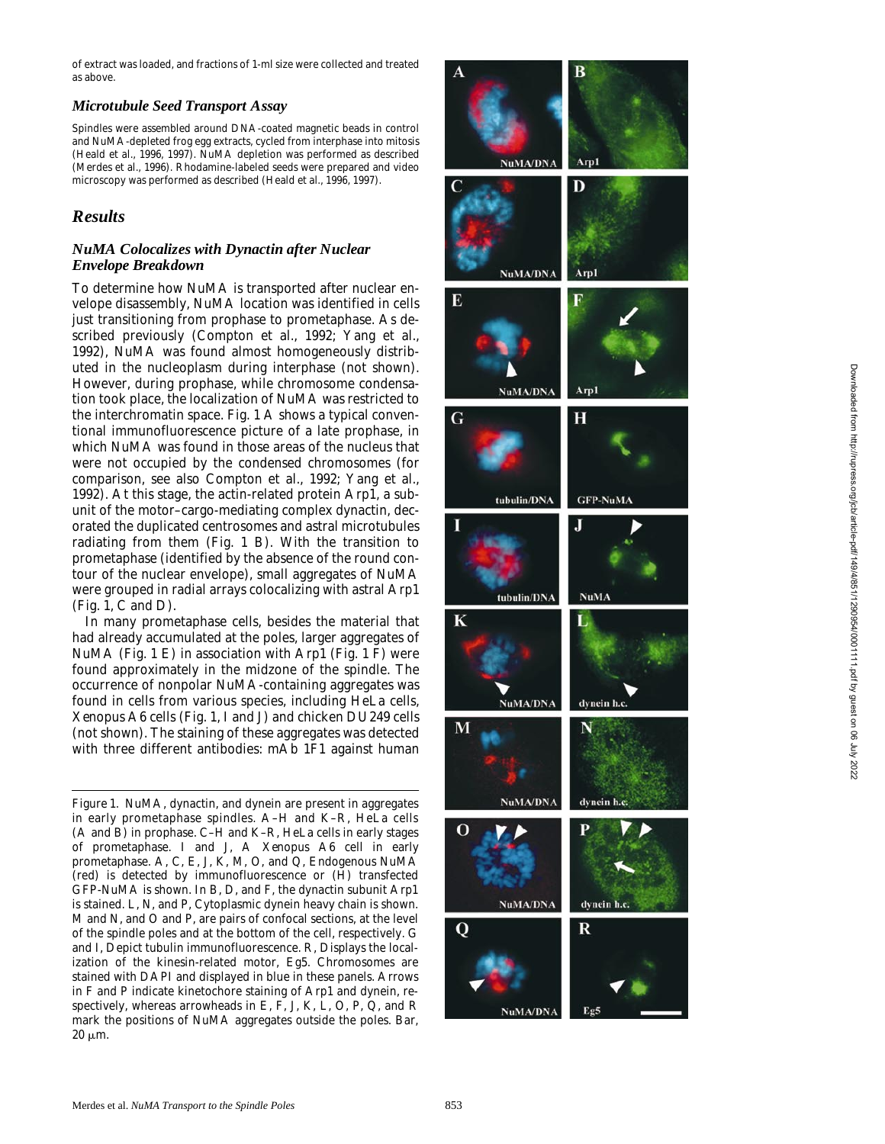of extract was loaded, and fractions of 1-ml size were collected and treated as above.

#### *Microtubule Seed Transport Assay*

Spindles were assembled around DNA-coated magnetic beads in control and NuMA-depleted frog egg extracts, cycled from interphase into mitosis (Heald et al., 1996, 1997). NuMA depletion was performed as described (Merdes et al., 1996). Rhodamine-labeled seeds were prepared and video microscopy was performed as described (Heald et al., 1996, 1997).

# *Results*

#### *NuMA Colocalizes with Dynactin after Nuclear Envelope Breakdown*

To determine how NuMA is transported after nuclear envelope disassembly, NuMA location was identified in cells just transitioning from prophase to prometaphase. As described previously (Compton et al., 1992; Yang et al., 1992), NuMA was found almost homogeneously distributed in the nucleoplasm during interphase (not shown). However, during prophase, while chromosome condensation took place, the localization of NuMA was restricted to the interchromatin space. Fig. 1 A shows a typical conventional immunofluorescence picture of a late prophase, in which NuMA was found in those areas of the nucleus that were not occupied by the condensed chromosomes (for comparison, see also Compton et al., 1992; Yang et al., 1992). At this stage, the actin-related protein Arp1, a subunit of the motor–cargo-mediating complex dynactin, decorated the duplicated centrosomes and astral microtubules radiating from them (Fig. 1 B). With the transition to prometaphase (identified by the absence of the round contour of the nuclear envelope), small aggregates of NuMA were grouped in radial arrays colocalizing with astral Arp1 (Fig. 1, C and D).

In many prometaphase cells, besides the material that had already accumulated at the poles, larger aggregates of NuMA (Fig. 1 E) in association with Arp1 (Fig. 1 F) were found approximately in the midzone of the spindle. The occurrence of nonpolar NuMA-containing aggregates was found in cells from various species, including HeLa cells, *Xenopus* A6 cells (Fig. 1, I and J) and chicken DU249 cells (not shown). The staining of these aggregates was detected with three different antibodies: mAb 1F1 against human

*Figure 1.* NuMA, dynactin, and dynein are present in aggregates in early prometaphase spindles. A–H and K–R, HeLa cells (A and B) in prophase. C–H and K–R, HeLa cells in early stages of prometaphase. I and J, A *Xenopus* A6 cell in early prometaphase. A, C, E, J, K, M, O, and Q, Endogenous NuMA (red) is detected by immunofluorescence or (H) transfected GFP-NuMA is shown. In B, D, and F, the dynactin subunit Arp1 is stained. L, N, and P, Cytoplasmic dynein heavy chain is shown. M and N, and O and P, are pairs of confocal sections, at the level of the spindle poles and at the bottom of the cell, respectively. G and I, Depict tubulin immunofluorescence. R, Displays the localization of the kinesin-related motor, Eg5. Chromosomes are stained with DAPI and displayed in blue in these panels. Arrows in F and P indicate kinetochore staining of Arp1 and dynein, respectively, whereas arrowheads in E, F, J, K, L, O, P, Q, and R mark the positions of NuMA aggregates outside the poles. Bar,  $20 \mu m$ .

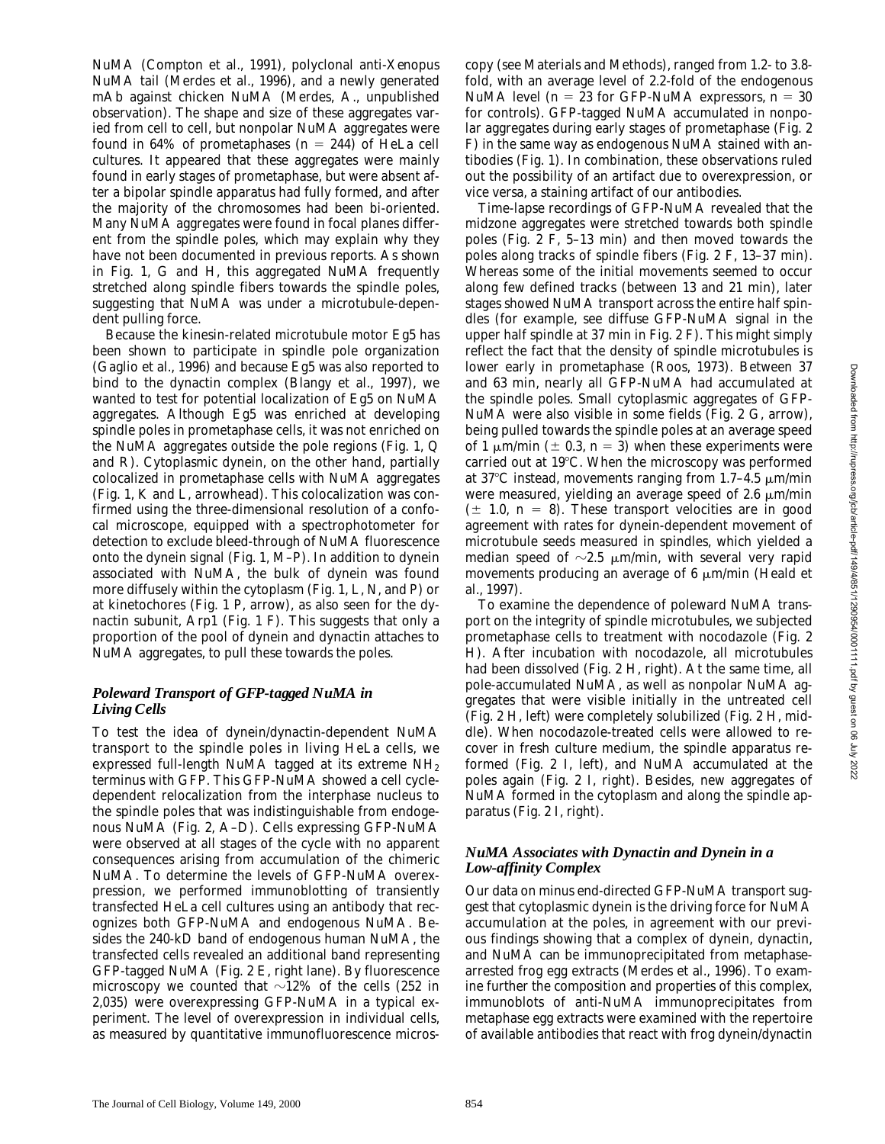NuMA (Compton et al., 1991), polyclonal anti-*Xenopus* NuMA tail (Merdes et al., 1996), and a newly generated mAb against chicken NuMA (Merdes, A., unpublished observation). The shape and size of these aggregates varied from cell to cell, but nonpolar NuMA aggregates were found in 64% of prometaphases  $(n = 244)$  of HeLa cell cultures. It appeared that these aggregates were mainly found in early stages of prometaphase, but were absent after a bipolar spindle apparatus had fully formed, and after the majority of the chromosomes had been bi-oriented. Many NuMA aggregates were found in focal planes different from the spindle poles, which may explain why they have not been documented in previous reports. As shown in Fig. 1, G and H, this aggregated NuMA frequently stretched along spindle fibers towards the spindle poles, suggesting that NuMA was under a microtubule-dependent pulling force.

Because the kinesin-related microtubule motor Eg5 has been shown to participate in spindle pole organization (Gaglio et al., 1996) and because Eg5 was also reported to bind to the dynactin complex (Blangy et al., 1997), we wanted to test for potential localization of Eg5 on NuMA aggregates. Although Eg5 was enriched at developing spindle poles in prometaphase cells, it was not enriched on the NuMA aggregates outside the pole regions (Fig. 1, Q and R). Cytoplasmic dynein, on the other hand, partially colocalized in prometaphase cells with NuMA aggregates (Fig. 1, K and L, arrowhead). This colocalization was confirmed using the three-dimensional resolution of a confocal microscope, equipped with a spectrophotometer for detection to exclude bleed-through of NuMA fluorescence onto the dynein signal (Fig. 1, M–P). In addition to dynein associated with NuMA, the bulk of dynein was found more diffusely within the cytoplasm (Fig. 1, L, N, and P) or at kinetochores (Fig. 1 P, arrow), as also seen for the dynactin subunit, Arp1 (Fig. 1 F). This suggests that only a proportion of the pool of dynein and dynactin attaches to NuMA aggregates, to pull these towards the poles.

#### *Poleward Transport of GFP-tagged NuMA in Living Cells*

To test the idea of dynein/dynactin-dependent NuMA transport to the spindle poles in living HeLa cells, we expressed full-length NuMA tagged at its extreme NH<sub>2</sub> terminus with GFP. This GFP-NuMA showed a cell cycledependent relocalization from the interphase nucleus to the spindle poles that was indistinguishable from endogenous NuMA (Fig. 2, A–D). Cells expressing GFP-NuMA were observed at all stages of the cycle with no apparent consequences arising from accumulation of the chimeric NuMA. To determine the levels of GFP-NuMA overexpression, we performed immunoblotting of transiently transfected HeLa cell cultures using an antibody that recognizes both GFP-NuMA and endogenous NuMA. Besides the 240-kD band of endogenous human NuMA, the transfected cells revealed an additional band representing GFP-tagged NuMA (Fig. 2 E, right lane). By fluorescence microscopy we counted that  $\sim$ 12% of the cells (252 in 2,035) were overexpressing GFP-NuMA in a typical experiment. The level of overexpression in individual cells, as measured by quantitative immunofluorescence microscopy (see Materials and Methods), ranged from 1.2- to 3.8 fold, with an average level of 2.2-fold of the endogenous NuMA level ( $n = 23$  for GFP-NuMA expressors,  $n = 30$ for controls). GFP-tagged NuMA accumulated in nonpolar aggregates during early stages of prometaphase (Fig. 2 F) in the same way as endogenous NuMA stained with antibodies (Fig. 1). In combination, these observations ruled out the possibility of an artifact due to overexpression, or vice versa, a staining artifact of our antibodies.

Time-lapse recordings of GFP-NuMA revealed that the midzone aggregates were stretched towards both spindle poles (Fig. 2 F, 5–13 min) and then moved towards the poles along tracks of spindle fibers (Fig. 2 F, 13–37 min). Whereas some of the initial movements seemed to occur along few defined tracks (between 13 and 21 min), later stages showed NuMA transport across the entire half spindles (for example, see diffuse GFP-NuMA signal in the upper half spindle at 37 min in Fig. 2 F). This might simply reflect the fact that the density of spindle microtubules is lower early in prometaphase (Roos, 1973). Between 37 and 63 min, nearly all GFP-NuMA had accumulated at the spindle poles. Small cytoplasmic aggregates of GFP-NuMA were also visible in some fields (Fig. 2 G, arrow), being pulled towards the spindle poles at an average speed of 1  $\mu$ m/min ( $\pm$  0.3, *n* = 3) when these experiments were carried out at  $19^{\circ}$ C. When the microscopy was performed at 37°C instead, movements ranging from 1.7–4.5  $\mu$ m/min were measured, yielding an average speed of 2.6  $\mu$ m/min  $(\pm 1.0, n = 8)$ . These transport velocities are in good agreement with rates for dynein-dependent movement of microtubule seeds measured in spindles, which yielded a median speed of  $\sim$ 2.5  $\mu$ m/min, with several very rapid movements producing an average of  $6 \mu m/min$  (Heald et al., 1997).

To examine the dependence of poleward NuMA transport on the integrity of spindle microtubules, we subjected prometaphase cells to treatment with nocodazole (Fig. 2 H). After incubation with nocodazole, all microtubules had been dissolved (Fig. 2 H, right). At the same time, all pole-accumulated NuMA, as well as nonpolar NuMA aggregates that were visible initially in the untreated cell (Fig. 2 H, left) were completely solubilized (Fig. 2 H, middle). When nocodazole-treated cells were allowed to recover in fresh culture medium, the spindle apparatus reformed (Fig. 2 I, left), and NuMA accumulated at the poles again (Fig. 2 I, right). Besides, new aggregates of NuMA formed in the cytoplasm and along the spindle apparatus (Fig. 2 I, right).

### *NuMA Associates with Dynactin and Dynein in a Low-affinity Complex*

Our data on minus end-directed GFP-NuMA transport suggest that cytoplasmic dynein is the driving force for NuMA accumulation at the poles, in agreement with our previous findings showing that a complex of dynein, dynactin, and NuMA can be immunoprecipitated from metaphasearrested frog egg extracts (Merdes et al., 1996). To examine further the composition and properties of this complex, immunoblots of anti-NuMA immunoprecipitates from metaphase egg extracts were examined with the repertoire of available antibodies that react with frog dynein/dynactin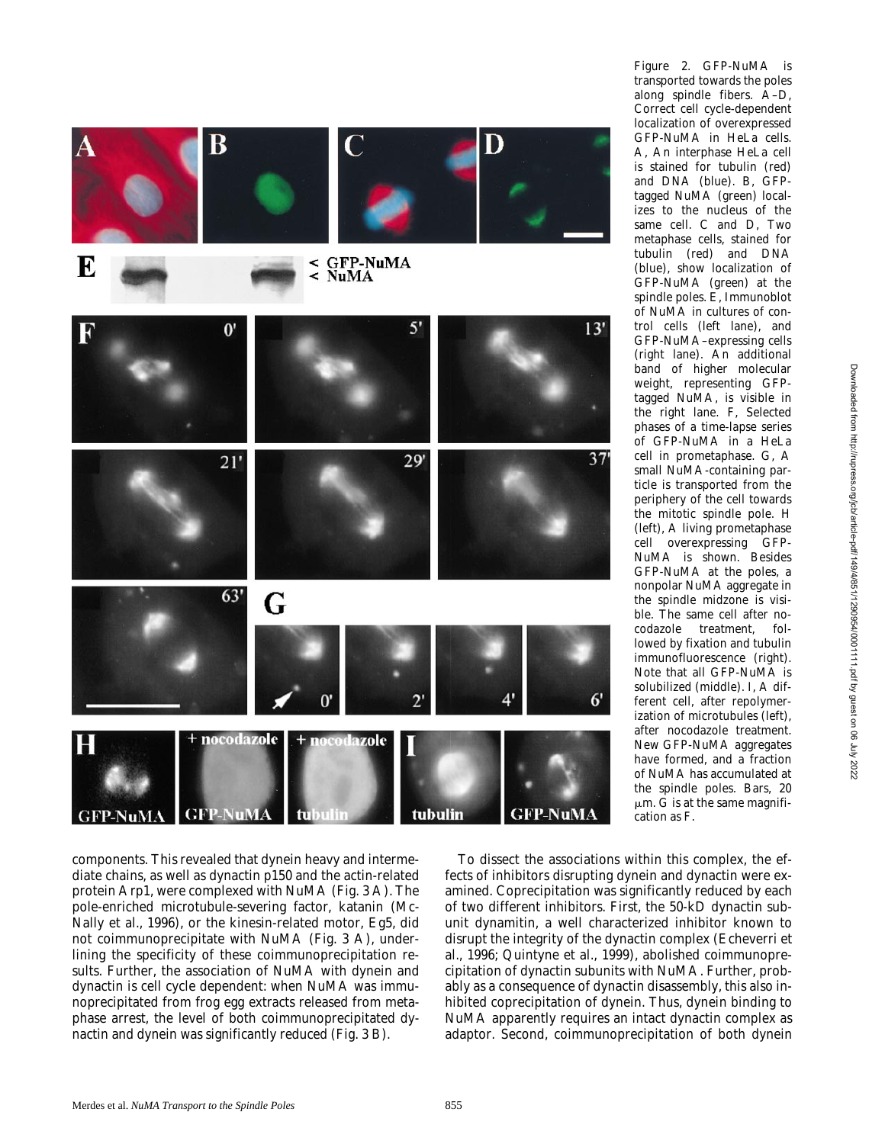

Downloaded from http://rupress.org/jcb/article-pdf/149/4/851/1290954/0001111.pdf by guest on 06 July 2022

Downloaded from http://rupress.org/jcb/article-pdf/149/4/851/1290954/0001111.pdf by guest on 06 July 2022

*Figure 2.* GFP-NuMA is transported towards the poles

components. This revealed that dynein heavy and intermediate chains, as well as dynactin p150 and the actin-related protein Arp1, were complexed with NuMA (Fig. 3 A). The pole-enriched microtubule-severing factor, katanin (Mc-Nally et al., 1996), or the kinesin-related motor, Eg5, did not coimmunoprecipitate with NuMA (Fig. 3 A), underlining the specificity of these coimmunoprecipitation results. Further, the association of NuMA with dynein and dynactin is cell cycle dependent: when NuMA was immunoprecipitated from frog egg extracts released from metaphase arrest, the level of both coimmunoprecipitated dynactin and dynein was significantly reduced (Fig. 3 B).

To dissect the associations within this complex, the effects of inhibitors disrupting dynein and dynactin were examined. Coprecipitation was significantly reduced by each of two different inhibitors. First, the 50-kD dynactin subunit dynamitin, a well characterized inhibitor known to disrupt the integrity of the dynactin complex (Echeverri et al., 1996; Quintyne et al., 1999), abolished coimmunoprecipitation of dynactin subunits with NuMA. Further, probably as a consequence of dynactin disassembly, this also inhibited coprecipitation of dynein. Thus, dynein binding to NuMA apparently requires an intact dynactin complex as adaptor. Second, coimmunoprecipitation of both dynein

Merdes et al. *NuMA Transport to the Spindle Poles* 855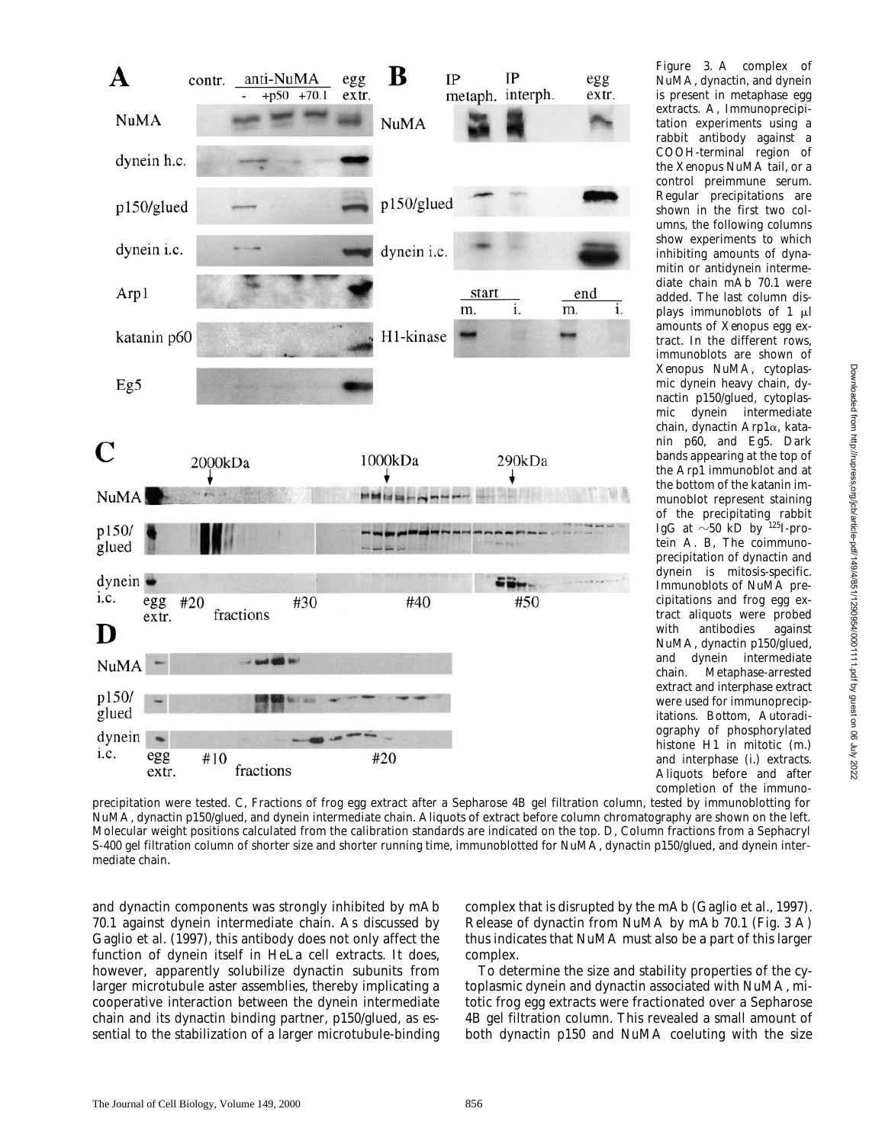

*Figure 3.* A complex of NuMA, dynactin, and dynein is present in metaphase egg extracts. A, Immunoprecipitation experiments using a rabbit antibody against a COOH-terminal region of the *Xenopus* NuMA tail, or a control preimmune serum. Regular precipitations are shown in the first two columns, the following columns show experiments to which inhibiting amounts of dynamitin or antidynein intermediate chain mAb 70.1 were added. The last column displays immunoblots of 1  $\mu$ l amounts of *Xenopus* egg extract. In the different rows, immunoblots are shown of *Xenopus* NuMA, cytoplasmic dynein heavy chain, dynactin p150/glued, cytoplasmic dynein intermediate chain, dynactin Arp1 $\alpha$ , katanin p60, and Eg5. Dark bands appearing at the top of the Arp1 immunoblot and at the bottom of the katanin immunoblot represent staining of the precipitating rabbit IgG at  $\sim 50$  kD by <sup>125</sup>I-protein A. B, The coimmunoprecipitation of dynactin and dynein is mitosis-specific. Immunoblots of NuMA precipitations and frog egg extract aliquots were probed with antibodies against NuMA, dynactin p150/glued, and dynein intermediate<br>chain. Metaphase-arrested Metaphase-arrested extract and interphase extract were used for immunoprecipitations. Bottom, Autoradiography of phosphorylated histone H1 in mitotic (m.) and interphase (i.) extracts. Aliquots before and after completion of the immuno-

precipitation were tested. C, Fractions of frog egg extract after a Sepharose 4B gel filtration column, tested by immunoblotting for NuMA, dynactin p150/glued, and dynein intermediate chain. Aliquots of extract before column chromatography are shown on the left. Molecular weight positions calculated from the calibration standards are indicated on the top. D, Column fractions from a Sephacryl S-400 gel filtration column of shorter size and shorter running time, immunoblotted for NuMA, dynactin p150/glued, and dynein intermediate chain.

and dynactin components was strongly inhibited by mAb 70.1 against dynein intermediate chain. As discussed by Gaglio et al. (1997), this antibody does not only affect the function of dynein itself in HeLa cell extracts. It does, however, apparently solubilize dynactin subunits from larger microtubule aster assemblies, thereby implicating a cooperative interaction between the dynein intermediate chain and its dynactin binding partner, p150/glued, as essential to the stabilization of a larger microtubule-binding

complex that is disrupted by the mAb (Gaglio et al., 1997). Release of dynactin from NuMA by mAb 70.1 (Fig. 3 A) thus indicates that NuMA must also be a part of this larger complex.

To determine the size and stability properties of the cytoplasmic dynein and dynactin associated with NuMA, mitotic frog egg extracts were fractionated over a Sepharose 4B gel filtration column. This revealed a small amount of both dynactin p150 and NuMA coeluting with the size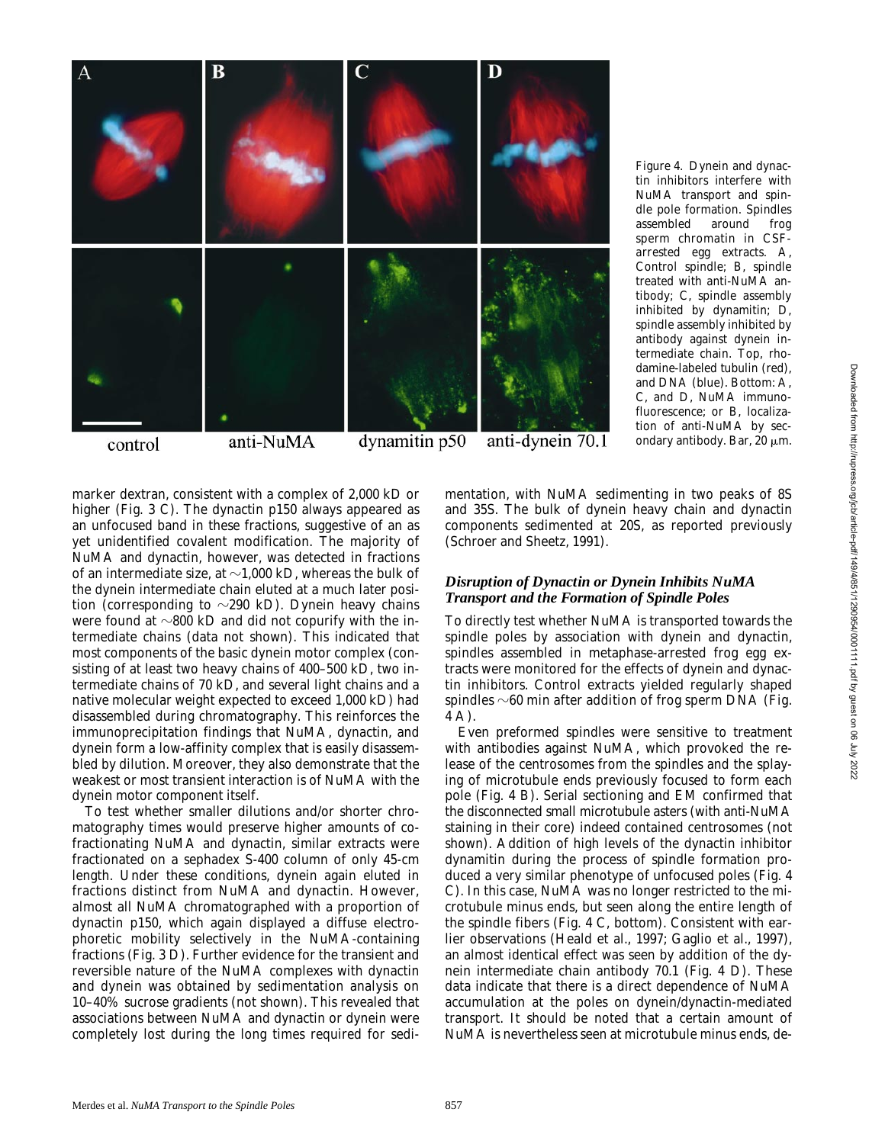

*Figure 4.* Dynein and dynactin inhibitors interfere with NuMA transport and spindle pole formation. Spindles assembled around frog sperm chromatin in CSFarrested egg extracts. A, Control spindle; B, spindle treated with anti-NuMA antibody; C, spindle assembly inhibited by dynamitin; D, spindle assembly inhibited by antibody against dynein intermediate chain. Top, rhodamine-labeled tubulin (red), and DNA (blue). Bottom: A, C, and D, NuMA immunofluorescence; or B, localization of anti-NuMA by secondary antibody. Bar, 20  $\mu$ m.

marker dextran, consistent with a complex of 2,000 kD or higher (Fig. 3 C). The dynactin p150 always appeared as an unfocused band in these fractions, suggestive of an as yet unidentified covalent modification. The majority of NuMA and dynactin, however, was detected in fractions of an intermediate size, at  $\sim$ 1,000 kD, whereas the bulk of the dynein intermediate chain eluted at a much later position (corresponding to  $\sim$ 290 kD). Dynein heavy chains were found at  $\sim 800$  kD and did not copurify with the intermediate chains (data not shown). This indicated that most components of the basic dynein motor complex (consisting of at least two heavy chains of 400–500 kD, two intermediate chains of 70 kD, and several light chains and a native molecular weight expected to exceed 1,000 kD) had disassembled during chromatography. This reinforces the immunoprecipitation findings that NuMA, dynactin, and dynein form a low-affinity complex that is easily disassembled by dilution. Moreover, they also demonstrate that the weakest or most transient interaction is of NuMA with the dynein motor component itself.

To test whether smaller dilutions and/or shorter chromatography times would preserve higher amounts of cofractionating NuMA and dynactin, similar extracts were fractionated on a sephadex S-400 column of only 45-cm length. Under these conditions, dynein again eluted in fractions distinct from NuMA and dynactin. However, almost all NuMA chromatographed with a proportion of dynactin p150, which again displayed a diffuse electrophoretic mobility selectively in the NuMA-containing fractions (Fig. 3 D). Further evidence for the transient and reversible nature of the NuMA complexes with dynactin and dynein was obtained by sedimentation analysis on 10–40% sucrose gradients (not shown). This revealed that associations between NuMA and dynactin or dynein were completely lost during the long times required for sedimentation, with NuMA sedimenting in two peaks of 8S and 35S. The bulk of dynein heavy chain and dynactin components sedimented at 20S, as reported previously (Schroer and Sheetz, 1991).

### *Disruption of Dynactin or Dynein Inhibits NuMA Transport and the Formation of Spindle Poles*

To directly test whether NuMA is transported towards the spindle poles by association with dynein and dynactin, spindles assembled in metaphase-arrested frog egg extracts were monitored for the effects of dynein and dynactin inhibitors. Control extracts yielded regularly shaped spindles  $\sim$ 60 min after addition of frog sperm DNA (Fig. 4 A).

Even preformed spindles were sensitive to treatment with antibodies against NuMA, which provoked the release of the centrosomes from the spindles and the splaying of microtubule ends previously focused to form each pole (Fig. 4 B). Serial sectioning and EM confirmed that the disconnected small microtubule asters (with anti-NuMA staining in their core) indeed contained centrosomes (not shown). Addition of high levels of the dynactin inhibitor dynamitin during the process of spindle formation produced a very similar phenotype of unfocused poles (Fig. 4 C). In this case, NuMA was no longer restricted to the microtubule minus ends, but seen along the entire length of the spindle fibers (Fig. 4 C, bottom). Consistent with earlier observations (Heald et al., 1997; Gaglio et al., 1997), an almost identical effect was seen by addition of the dynein intermediate chain antibody 70.1 (Fig. 4 D). These data indicate that there is a direct dependence of NuMA accumulation at the poles on dynein/dynactin-mediated transport. It should be noted that a certain amount of NuMA is nevertheless seen at microtubule minus ends, de-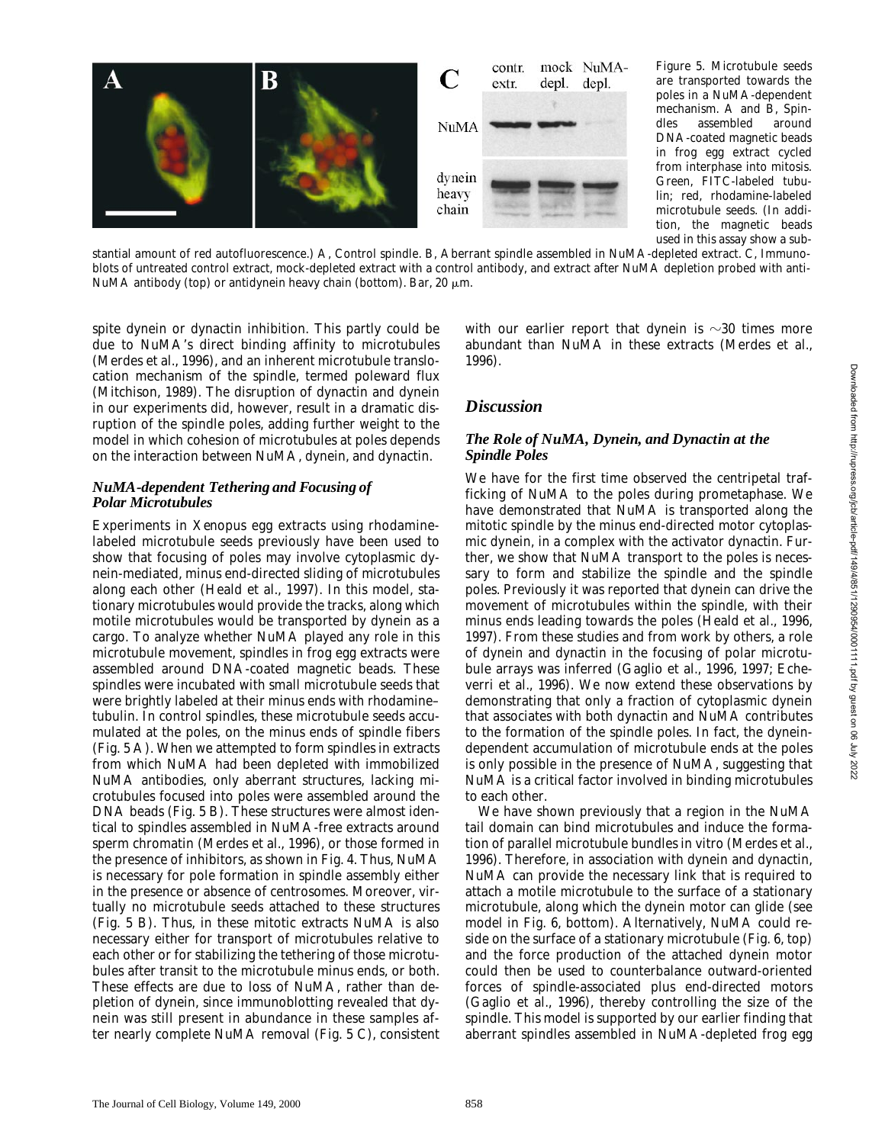

*Figure 5.* Microtubule seeds are transported towards the poles in a NuMA-dependent mechanism. A and B, Spindles assembled around DNA-coated magnetic beads in frog egg extract cycled from interphase into mitosis. Green, FITC-labeled tubulin; red, rhodamine-labeled microtubule seeds. (In addition, the magnetic beads used in this assay show a sub-

stantial amount of red autofluorescence.) A, Control spindle. B, Aberrant spindle assembled in NuMA-depleted extract. C, Immunoblots of untreated control extract, mock-depleted extract with a control antibody, and extract after NuMA depletion probed with anti-NuMA antibody (top) or antidynein heavy chain (bottom). Bar, 20  $\mu$ m.

spite dynein or dynactin inhibition. This partly could be due to NuMA's direct binding affinity to microtubules (Merdes et al., 1996), and an inherent microtubule translocation mechanism of the spindle, termed poleward flux (Mitchison, 1989). The disruption of dynactin and dynein in our experiments did, however, result in a dramatic disruption of the spindle poles, adding further weight to the model in which cohesion of microtubules at poles depends on the interaction between NuMA, dynein, and dynactin.

#### *NuMA-dependent Tethering and Focusing of Polar Microtubules*

Experiments in *Xenopus* egg extracts using rhodaminelabeled microtubule seeds previously have been used to show that focusing of poles may involve cytoplasmic dynein-mediated, minus end-directed sliding of microtubules along each other (Heald et al., 1997). In this model, stationary microtubules would provide the tracks, along which motile microtubules would be transported by dynein as a cargo. To analyze whether NuMA played any role in this microtubule movement, spindles in frog egg extracts were assembled around DNA-coated magnetic beads. These spindles were incubated with small microtubule seeds that were brightly labeled at their minus ends with rhodamine– tubulin. In control spindles, these microtubule seeds accumulated at the poles, on the minus ends of spindle fibers (Fig. 5 A). When we attempted to form spindles in extracts from which NuMA had been depleted with immobilized NuMA antibodies, only aberrant structures, lacking microtubules focused into poles were assembled around the DNA beads (Fig. 5 B). These structures were almost identical to spindles assembled in NuMA-free extracts around sperm chromatin (Merdes et al., 1996), or those formed in the presence of inhibitors, as shown in Fig. 4. Thus, NuMA is necessary for pole formation in spindle assembly either in the presence or absence of centrosomes. Moreover, virtually no microtubule seeds attached to these structures (Fig. 5 B). Thus, in these mitotic extracts NuMA is also necessary either for transport of microtubules relative to each other or for stabilizing the tethering of those microtubules after transit to the microtubule minus ends, or both. These effects are due to loss of NuMA, rather than depletion of dynein, since immunoblotting revealed that dynein was still present in abundance in these samples after nearly complete NuMA removal (Fig. 5 C), consistent

with our earlier report that dynein is  $\sim$  30 times more abundant than NuMA in these extracts (Merdes et al., 1996).

# *Discussion*

#### *The Role of NuMA, Dynein, and Dynactin at the Spindle Poles*

We have for the first time observed the centripetal trafficking of NuMA to the poles during prometaphase. We have demonstrated that NuMA is transported along the mitotic spindle by the minus end-directed motor cytoplasmic dynein, in a complex with the activator dynactin. Further, we show that NuMA transport to the poles is necessary to form and stabilize the spindle and the spindle poles. Previously it was reported that dynein can drive the movement of microtubules within the spindle, with their minus ends leading towards the poles (Heald et al., 1996, 1997). From these studies and from work by others, a role of dynein and dynactin in the focusing of polar microtubule arrays was inferred (Gaglio et al., 1996, 1997; Echeverri et al., 1996). We now extend these observations by demonstrating that only a fraction of cytoplasmic dynein that associates with both dynactin and NuMA contributes to the formation of the spindle poles. In fact, the dyneindependent accumulation of microtubule ends at the poles is only possible in the presence of NuMA, suggesting that NuMA is a critical factor involved in binding microtubules to each other.

We have shown previously that a region in the NuMA tail domain can bind microtubules and induce the formation of parallel microtubule bundles in vitro (Merdes et al., 1996). Therefore, in association with dynein and dynactin, NuMA can provide the necessary link that is required to attach a motile microtubule to the surface of a stationary microtubule, along which the dynein motor can glide (see model in Fig. 6, bottom). Alternatively, NuMA could reside on the surface of a stationary microtubule (Fig. 6, top) and the force production of the attached dynein motor could then be used to counterbalance outward-oriented forces of spindle-associated plus end-directed motors (Gaglio et al., 1996), thereby controlling the size of the spindle. This model is supported by our earlier finding that aberrant spindles assembled in NuMA-depleted frog egg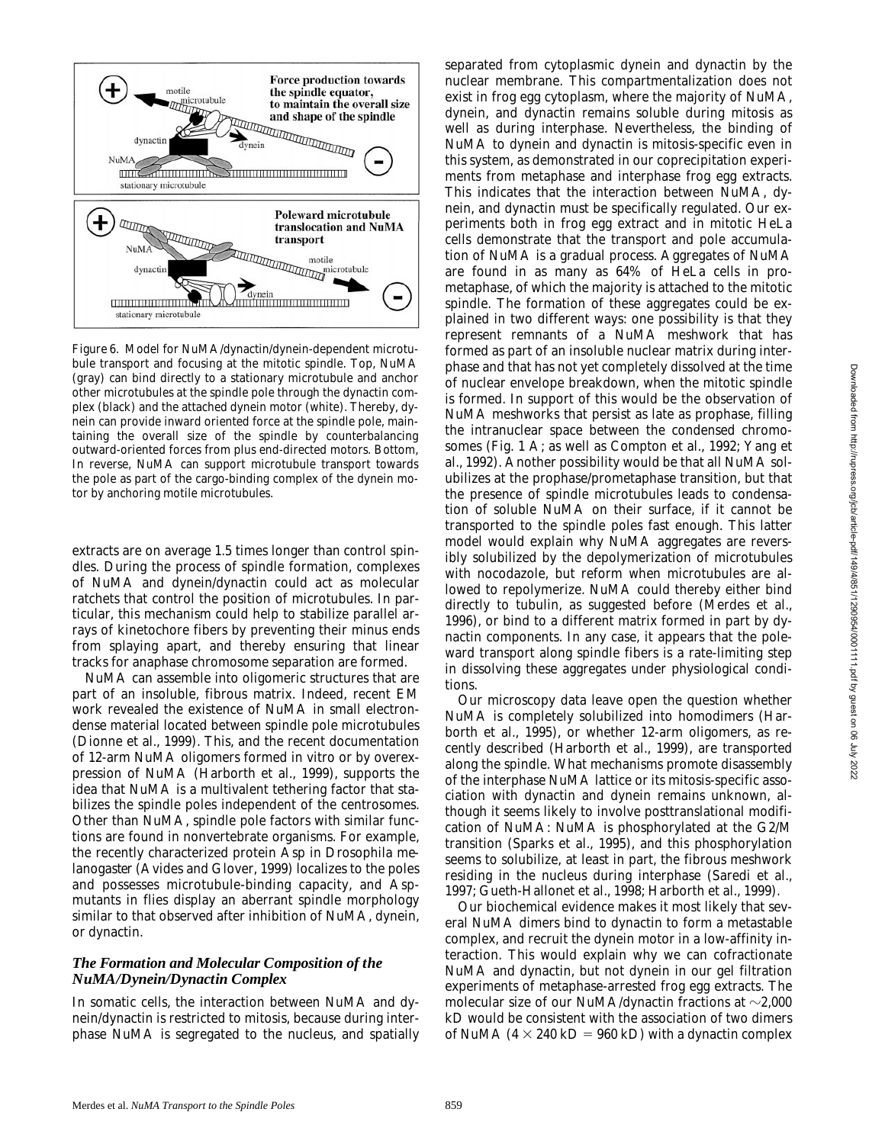

*Figure 6*. Model for NuMA/dynactin/dynein-dependent microtubule transport and focusing at the mitotic spindle. Top, NuMA (gray) can bind directly to a stationary microtubule and anchor other microtubules at the spindle pole through the dynactin complex (black) and the attached dynein motor (white). Thereby, dynein can provide inward oriented force at the spindle pole, maintaining the overall size of the spindle by counterbalancing outward-oriented forces from plus end-directed motors. Bottom, In reverse, NuMA can support microtubule transport towards the pole as part of the cargo-binding complex of the dynein motor by anchoring motile microtubules.

extracts are on average 1.5 times longer than control spindles. During the process of spindle formation, complexes of NuMA and dynein/dynactin could act as molecular ratchets that control the position of microtubules. In particular, this mechanism could help to stabilize parallel arrays of kinetochore fibers by preventing their minus ends from splaying apart, and thereby ensuring that linear tracks for anaphase chromosome separation are formed.

NuMA can assemble into oligomeric structures that are part of an insoluble, fibrous matrix. Indeed, recent EM work revealed the existence of NuMA in small electrondense material located between spindle pole microtubules (Dionne et al., 1999). This, and the recent documentation of 12-arm NuMA oligomers formed in vitro or by overexpression of NuMA (Harborth et al., 1999), supports the idea that NuMA is a multivalent tethering factor that stabilizes the spindle poles independent of the centrosomes. Other than NuMA, spindle pole factors with similar functions are found in nonvertebrate organisms. For example, the recently characterized protein Asp in *Drosophila melanogaster* (Avides and Glover, 1999) localizes to the poles and possesses microtubule-binding capacity, and Aspmutants in flies display an aberrant spindle morphology similar to that observed after inhibition of NuMA, dynein, or dynactin.

#### *The Formation and Molecular Composition of the NuMA/Dynein/Dynactin Complex*

In somatic cells, the interaction between NuMA and dynein/dynactin is restricted to mitosis, because during interphase NuMA is segregated to the nucleus, and spatially separated from cytoplasmic dynein and dynactin by the nuclear membrane. This compartmentalization does not exist in frog egg cytoplasm, where the majority of NuMA, dynein, and dynactin remains soluble during mitosis as well as during interphase. Nevertheless, the binding of NuMA to dynein and dynactin is mitosis-specific even in this system, as demonstrated in our coprecipitation experiments from metaphase and interphase frog egg extracts. This indicates that the interaction between NuMA, dynein, and dynactin must be specifically regulated. Our experiments both in frog egg extract and in mitotic HeLa cells demonstrate that the transport and pole accumulation of NuMA is a gradual process. Aggregates of NuMA are found in as many as 64% of HeLa cells in prometaphase, of which the majority is attached to the mitotic spindle. The formation of these aggregates could be explained in two different ways: one possibility is that they represent remnants of a NuMA meshwork that has formed as part of an insoluble nuclear matrix during interphase and that has not yet completely dissolved at the time of nuclear envelope breakdown, when the mitotic spindle is formed. In support of this would be the observation of NuMA meshworks that persist as late as prophase, filling the intranuclear space between the condensed chromosomes (Fig. 1 A; as well as Compton et al., 1992; Yang et al., 1992). Another possibility would be that all NuMA solubilizes at the prophase/prometaphase transition, but that the presence of spindle microtubules leads to condensation of soluble NuMA on their surface, if it cannot be transported to the spindle poles fast enough. This latter model would explain why NuMA aggregates are reversibly solubilized by the depolymerization of microtubules with nocodazole, but reform when microtubules are allowed to repolymerize. NuMA could thereby either bind directly to tubulin, as suggested before (Merdes et al., 1996), or bind to a different matrix formed in part by dynactin components. In any case, it appears that the poleward transport along spindle fibers is a rate-limiting step in dissolving these aggregates under physiological conditions.

Our microscopy data leave open the question whether NuMA is completely solubilized into homodimers (Harborth et al., 1995), or whether 12-arm oligomers, as recently described (Harborth et al., 1999), are transported along the spindle. What mechanisms promote disassembly of the interphase NuMA lattice or its mitosis-specific association with dynactin and dynein remains unknown, although it seems likely to involve posttranslational modification of NuMA: NuMA is phosphorylated at the G2/M transition (Sparks et al., 1995), and this phosphorylation seems to solubilize, at least in part, the fibrous meshwork residing in the nucleus during interphase (Saredi et al., 1997; Gueth-Hallonet et al., 1998; Harborth et al., 1999).

Our biochemical evidence makes it most likely that several NuMA dimers bind to dynactin to form a metastable complex, and recruit the dynein motor in a low-affinity interaction. This would explain why we can cofractionate NuMA and dynactin, but not dynein in our gel filtration experiments of metaphase-arrested frog egg extracts. The molecular size of our NuMA/dynactin fractions at  $\sim$ 2,000 kD would be consistent with the association of two dimers of NuMA  $(4 \times 240 \text{ kD} = 960 \text{ kD})$  with a dynactin complex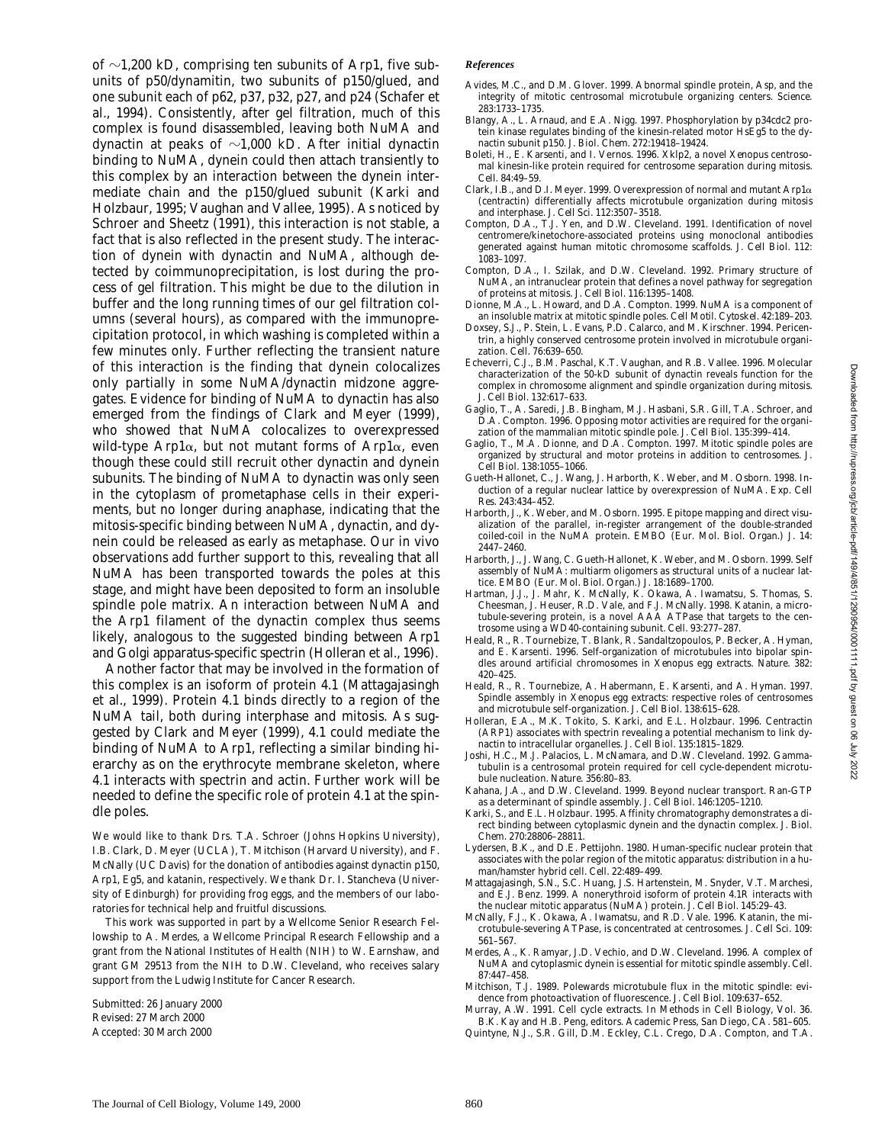of  $\sim$ 1,200 kD, comprising ten subunits of Arp1, five subunits of p50/dynamitin, two subunits of p150/glued, and one subunit each of p62, p37, p32, p27, and p24 (Schafer et al., 1994). Consistently, after gel filtration, much of this complex is found disassembled, leaving both NuMA and dynactin at peaks of  $\sim$ 1,000 kD. After initial dynactin binding to NuMA, dynein could then attach transiently to this complex by an interaction between the dynein intermediate chain and the p150/glued subunit (Karki and Holzbaur, 1995; Vaughan and Vallee, 1995). As noticed by Schroer and Sheetz (1991), this interaction is not stable, a fact that is also reflected in the present study. The interaction of dynein with dynactin and NuMA, although detected by coimmunoprecipitation, is lost during the process of gel filtration. This might be due to the dilution in buffer and the long running times of our gel filtration columns (several hours), as compared with the immunoprecipitation protocol, in which washing is completed within a few minutes only. Further reflecting the transient nature of this interaction is the finding that dynein colocalizes only partially in some NuMA/dynactin midzone aggregates. Evidence for binding of NuMA to dynactin has also emerged from the findings of Clark and Meyer (1999), who showed that NuMA colocalizes to overexpressed wild-type Arp1 $\alpha$ , but not mutant forms of Arp1 $\alpha$ , even though these could still recruit other dynactin and dynein subunits. The binding of NuMA to dynactin was only seen in the cytoplasm of prometaphase cells in their experiments, but no longer during anaphase, indicating that the mitosis-specific binding between NuMA, dynactin, and dynein could be released as early as metaphase. Our in vivo observations add further support to this, revealing that all NuMA has been transported towards the poles at this stage, and might have been deposited to form an insoluble spindle pole matrix. An interaction between NuMA and the Arp1 filament of the dynactin complex thus seems likely, analogous to the suggested binding between Arp1 and Golgi apparatus-specific spectrin (Holleran et al., 1996).

Another factor that may be involved in the formation of this complex is an isoform of protein 4.1 (Mattagajasingh et al., 1999). Protein 4.1 binds directly to a region of the NuMA tail, both during interphase and mitosis. As suggested by Clark and Meyer (1999), 4.1 could mediate the binding of NuMA to Arp1, reflecting a similar binding hierarchy as on the erythrocyte membrane skeleton, where 4.1 interacts with spectrin and actin. Further work will be needed to define the specific role of protein 4.1 at the spindle poles.

We would like to thank Drs. T.A. Schroer (Johns Hopkins University), I.B. Clark, D. Meyer (UCLA), T. Mitchison (Harvard University), and F. McNally (UC Davis) for the donation of antibodies against dynactin p150, Arp1, Eg5, and katanin, respectively. We thank Dr. I. Stancheva (University of Edinburgh) for providing frog eggs, and the members of our laboratories for technical help and fruitful discussions.

This work was supported in part by a Wellcome Senior Research Fellowship to A. Merdes, a Wellcome Principal Research Fellowship and a grant from the National Institutes of Health (NIH) to W. Earnshaw, and grant GM 29513 from the NIH to D.W. Cleveland, who receives salary support from the Ludwig Institute for Cancer Research.

Submitted: 26 January 2000 Revised: 27 March 2000 Accepted: 30 March 2000

#### *References*

- Avides, M.C., and D.M. Glover. 1999. Abnormal spindle protein, Asp, and the integrity of mitotic centrosomal microtubule organizing centers. *Science.* 283:1733–1735.
- Blangy, A., L. Arnaud, and E.A. Nigg. 1997. Phosphorylation by p34cdc2 protein kinase regulates binding of the kinesin-related motor HsEg5 to the dynactin subunit p150. *J. Biol. Chem.* 272:19418–19424.
- Boleti, H., E. Karsenti, and I. Vernos. 1996. Xklp2, a novel *Xenopus* centrosomal kinesin-like protein required for centrosome separation during mitosis. *Cell.* 84:49–59.
- Clark, I.B., and D.I. Meyer. 1999. Overexpression of normal and mutant Arp1a (centractin) differentially affects microtubule organization during mitosis and interphase. *J. Cell Sci.* 112:3507–3518.
- Compton, D.A., T.J. Yen, and D.W. Cleveland. 1991. Identification of novel centromere/kinetochore-associated proteins using monoclonal antibodies generated against human mitotic chromosome scaffolds. *J. Cell Biol.* 112: 1083–1097.
- Compton, D.A., I. Szilak, and D.W. Cleveland. 1992. Primary structure of NuMA, an intranuclear protein that defines a novel pathway for segregation of proteins at mitosis. *J. Cell Biol.* 116:1395–1408.
- Dionne, M.A., L. Howard, and D.A. Compton. 1999. NuMA is a component of an insoluble matrix at mitotic spindle poles. *Cell Motil. Cytoskel.* 42:189–203.
- Doxsey, S.J., P. Stein, L. Evans, P.D. Calarco, and M. Kirschner. 1994. Pericentrin, a highly conserved centrosome protein involved in microtubule organization. *Cell.* 76:639–650.
- Echeverri, C.J., B.M. Paschal, K.T. Vaughan, and R.B. Vallee. 1996. Molecular characterization of the 50-kD subunit of dynactin reveals function for the complex in chromosome alignment and spindle organization during mitosis. *J. Cell Biol.* 132:617–633.
- Gaglio, T., A. Saredi, J.B. Bingham, M.J. Hasbani, S.R. Gill, T.A. Schroer, and D.A. Compton. 1996. Opposing motor activities are required for the organization of the mammalian mitotic spindle pole. *J. Cell Biol.* 135:399–414.
- Gaglio, T., M.A. Dionne, and D.A. Compton. 1997. Mitotic spindle poles are organized by structural and motor proteins in addition to centrosomes. *J. Cell Biol.* 138:1055–1066.
- Gueth-Hallonet, C., J. Wang, J. Harborth, K. Weber, and M. Osborn. 1998. Induction of a regular nuclear lattice by overexpression of NuMA. *Exp. Cell Res.* 243:434–452.
- Harborth, J., K. Weber, and M. Osborn. 1995. Epitope mapping and direct visualization of the parallel, in-register arrangement of the double-stranded coiled-coil in the NuMA protein. *EMBO (Eur. Mol. Biol. Organ.) J.* 14: 2447–2460.
- Harborth, J., J. Wang, C. Gueth-Hallonet, K. Weber, and M. Osborn. 1999. Self assembly of NuMA: multiarm oligomers as structural units of a nuclear lattice. *EMBO (Eur. Mol. Biol. Organ.) J.* 18:1689–1700.
- Hartman, J.J., J. Mahr, K. McNally, K. Okawa, A. Iwamatsu, S. Thomas, S. Cheesman, J. Heuser, R.D. Vale, and F.J. McNally. 1998. Katanin, a microtubule-severing protein, is a novel AAA ATPase that targets to the centrosome using a WD40-containing subunit. *Cell.* 93:277–287.
- Heald, R., R. Tournebize, T. Blank, R. Sandaltzopoulos, P. Becker, A. Hyman, and E. Karsenti. 1996. Self-organization of microtubules into bipolar spindles around artificial chromosomes in *Xenopus* egg extracts. *Nature.* 382: 420–425.
- Heald, R., R. Tournebize, A. Habermann, E. Karsenti, and A. Hyman. 1997. Spindle assembly in *Xenopus* egg extracts: respective roles of centrosomes and microtubule self-organization. *J. Cell Biol.* 138:615–628.
- Holleran, E.A., M.K. Tokito, S. Karki, and E.L. Holzbaur. 1996. Centractin (ARP1) associates with spectrin revealing a potential mechanism to link dynactin to intracellular organelles. *J. Cell Biol.* 135:1815–1829.
- Joshi, H.C., M.J. Palacios, L. McNamara, and D.W. Cleveland. 1992. Gammatubulin is a centrosomal protein required for cell cycle-dependent microtubule nucleation. *Nature*. 356:80–83.
- Kahana, J.A., and D.W. Cleveland. 1999. Beyond nuclear transport. Ran-GTP as a determinant of spindle assembly. *J. Cell Biol.* 146:1205–1210.
- Karki, S., and E.L. Holzbaur. 1995. Affinity chromatography demonstrates a direct binding between cytoplasmic dynein and the dynactin complex. *J. Biol. Chem.* 270:28806–28811.
- Lydersen, B.K., and D.E. Pettijohn. 1980. Human-specific nuclear protein that associates with the polar region of the mitotic apparatus: distribution in a human/hamster hybrid cell. *Cell.* 22:489–499.
- Mattagajasingh, S.N., S.C. Huang, J.S. Hartenstein, M. Snyder, V.T. Marchesi, and E.J. Benz. 1999. A nonerythroid isoform of protein 4.1R interacts with the nuclear mitotic apparatus (NuMA) protein. *J. Cell Biol.* 145:29–43.
- McNally, F.J., K. Okawa, A. Iwamatsu, and R.D. Vale. 1996. Katanin, the microtubule-severing ATPase, is concentrated at centrosomes. *J. Cell Sci.* 109: 561–567.
- Merdes, A., K. Ramyar, J.D. Vechio, and D.W. Cleveland. 1996. A complex of NuMA and cytoplasmic dynein is essential for mitotic spindle assembly. *Cell.* 87:447–458.
- Mitchison, T.J. 1989. Polewards microtubule flux in the mitotic spindle: evidence from photoactivation of fluorescence. *J. Cell Biol.* 109:637–652.
- Murray, A.W. 1991. Cell cycle extracts. *In* Methods in Cell Biology, Vol. 36. B.K. Kay and H.B. Peng, editors. Academic Press, San Diego, CA. 581–605.
- Quintyne, N.J., S.R. Gill, D.M. Eckley, C.L. Crego, D.A. Compton, and T.A.